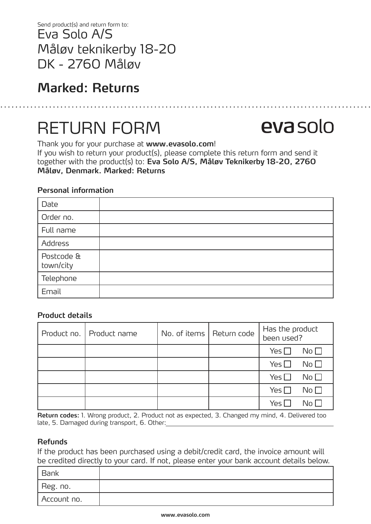Eva Solo A/S Måløv teknikerby 18-20 DK - 2760 Måløv Send product(s) and return form to:

## **Marked: Returns**

# RETURN FORM

Thank you for your purchase at **www.evasolo.com**! If you wish to return your product(s), please complete this return form and send it together with the product(s) to: **Eva Solo A/S, Måløv Teknikerby 18-20, 2760 Måløv, Denmark. Marked: Returns**

### **Personal information**

| Date                    |  |
|-------------------------|--|
| Order no.               |  |
| Full name               |  |
| Address                 |  |
| Postcode &<br>town/city |  |
| Telephone               |  |
| Email                   |  |

### **Product details**

| Product no.   Product name | No. of items   Return code | Has the product<br>been used?    |
|----------------------------|----------------------------|----------------------------------|
|                            |                            | Yes $\square$<br>No <sub>1</sub> |
|                            |                            | Yes $\square$<br>No <sub>1</sub> |
|                            |                            | Yes $\square$<br>No <sub>1</sub> |
|                            |                            | Yes $\square$<br>No <sub>1</sub> |
|                            |                            | Yes l<br>$\mathsf{No}\,\Gamma$   |

**Return codes:** 1. Wrong product, 2. Product not as expected, 3. Changed my mind, 4. Delivered too late, 5. Damaged during transport, 6. Other:

### **Refunds**

If the product has been purchased using a debit/credit card, the invoice amount will be credited directly to your card. If not, please enter your bank account details below.

| Bank        |  |
|-------------|--|
| Reg. no.    |  |
| Account no. |  |

# evasolo